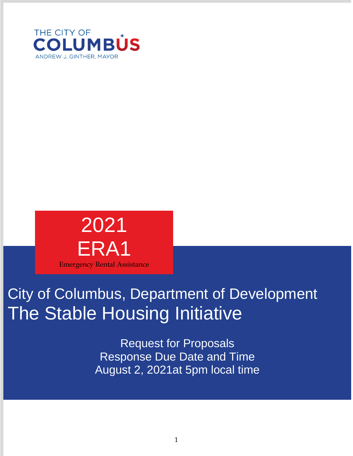



# City of Columbus, Department of Development The Stable Housing Initiative

Request for Proposals Response Due Date and Time August 2, 2021at 5pm local time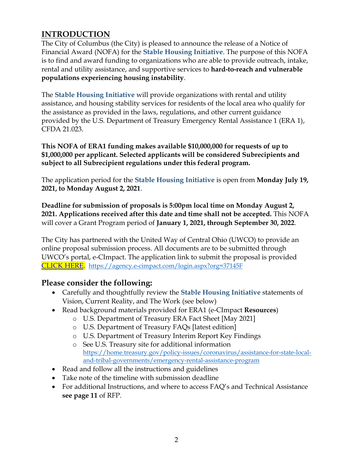# **INTRODUCTION**

The City of Columbus (the City) is pleased to announce the release of a Notice of Financial Award (NOFA) for the **Stable Housing Initiative**. The purpose of this NOFA is to find and award funding to organizations who are able to provide outreach, intake, rental and utility assistance, and supportive services to **hard-to-reach and vulnerable populations experiencing housing instability**.

The **Stable Housing Initiative** will provide organizations with rental and utility assistance, and housing stability services for residents of the local area who qualify for the assistance as provided in the laws, regulations, and other current guidance provided by the U.S. Department of Treasury Emergency Rental Assistance 1 (ERA 1), CFDA 21.023.

**This NOFA of ERA1 funding makes available \$10,000,000 for requests of up to \$1,000,000 per applicant. Selected applicants will be considered Subrecipients and subject to all Subrecipient regulations under this federal program.**

The application period for the **Stable Housing Initiative** is open from **Monday July 19, 2021, to Monday August 2, 2021**.

**Deadline for submission of proposals is 5:00pm local time on Monday August 2, 2021. Applications received after this date and time shall not be accepted.** This NOFA will cover a Grant Program period of **January 1, 2021, through September 30, 2022**.

The City has partnered with the United Way of Central Ohio (UWCO) to provide an online proposal submission process. All documents are to be submitted through UWCO's portal, e-CImpact. The application link to submit the proposal is provided [CLICK HERE.](https://agency.e-cimpact.com/login.aspx?org=37145F) <https://agency.e-cimpact.com/login.aspx?org=37145F>

## **Please consider the following:**

- Carefully and thoughtfully review the **Stable Housing Initiative** statements of Vision, Current Reality, and The Work (see below)
- Read background materials provided for ERA1 (e-CImpact **Resources**)
	- o U.S. Department of Treasury ERA Fact Sheet [May 2021]
	- o U.S. Department of Treasury FAQs [latest edition]
	- o U.S. Department of Treasury Interim Report Key Findings
	- o See U.S. Treasury site for additional information [https://home.treasury.gov/policy-issues/coronavirus/assistance-for-state-local](https://home.treasury.gov/policy-issues/coronavirus/assistance-for-state-local-and-tribal-governments/emergency-rental-assistance-program)[and-tribal-governments/emergency-rental-assistance-program](https://home.treasury.gov/policy-issues/coronavirus/assistance-for-state-local-and-tribal-governments/emergency-rental-assistance-program)
- Read and follow all the instructions and guidelines
- Take note of the timeline with submission deadline
- For additional Instructions, and where to access FAQ's and Technical Assistance **see page 11** of RFP.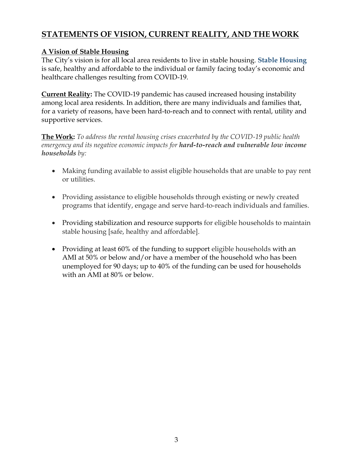# **STATEMENTS OF VISION, CURRENT REALITY, AND THE WORK**

## **A Vision of Stable Housing**

The City's vision is for all local area residents to live in stable housing. **Stable Housing**  is safe, healthy and affordable to the individual or family facing today's economic and healthcare challenges resulting from COVID-19.

**Current Reality:** The COVID-19 pandemic has caused increased housing instability among local area residents. In addition, there are many individuals and families that, for a variety of reasons, have been hard-to-reach and to connect with rental, utility and supportive services.

**The Work:** *To address the rental housing crises exacerbated by the COVID-19 public health emergency and its negative economic impacts for hard-to-reach and vulnerable low income households by:*

- Making funding available to assist eligible households that are unable to pay rent or utilities.
- Providing assistance to eligible households through existing or newly created programs that identify, engage and serve hard-to-reach individuals and families.
- Providing stabilization and resource supports for eligible households to maintain stable housing [safe, healthy and affordable].
- Providing at least 60% of the funding to support eligible households with an AMI at 50% or below and/or have a member of the household who has been unemployed for 90 days; up to 40% of the funding can be used for households with an AMI at 80% or below.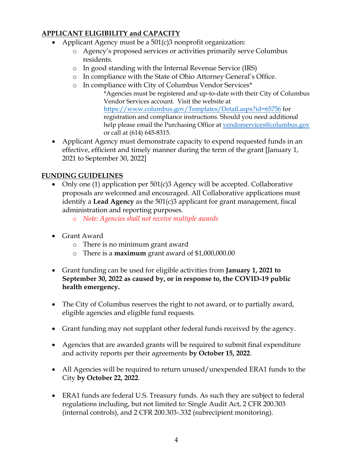## **APPLICANT ELIGIBILITY and CAPACITY**

- Applicant Agency must be a  $501(c)3$  nonprofit organization:
	- o Agency's proposed services or activities primarily serve Columbus residents.
	- o In good standing with the Internal Revenue Service (IRS)
	- o In compliance with the State of Ohio Attorney General's Office.
	- o In compliance with City of Columbus Vendor Services\*
		- \*Agencies must be registered and up-to-date with their City of Columbus Vendor Services account. Visit the website at <https://www.columbus.gov/Templates/Detail.aspx?id=65756> for registration and compliance instructions. Should you need additional help please email the Purchasing Office at [vendorservices@columbus.gov](mailto:vendorservices@columbus.gov) or call at (614) 645-8315.
- Applicant Agency must demonstrate capacity to expend requested funds in an effective, efficient and timely manner during the term of the grant [January 1, 2021 to September 30, 2022]

## **FUNDING GUIDELINES**

- Only one (1) application per 501(c)3 Agency will be accepted. Collaborative proposals are welcomed and encouraged. All Collaborative applications must identify a **Lead Agency** as the 501(c)3 applicant for grant management, fiscal administration and reporting purposes.
	- o *Note: Agencies shall not receive multiple awards*
- Grant Award
	- o There is no minimum grant award
	- o There is a **maximum** grant award of \$1,000,000.00
- Grant funding can be used for eligible activities from **January 1, 2021 to September 30, 2022 as caused by, or in response to, the COVID-19 public health emergency.**
- The City of Columbus reserves the right to not award, or to partially award, eligible agencies and eligible fund requests.
- Grant funding may not supplant other federal funds received by the agency.
- Agencies that are awarded grants will be required to submit final expenditure and activity reports per their agreements **by October 15, 2022**.
- All Agencies will be required to return unused/unexpended ERA1 funds to the City **by October 22, 2022**.
- ERA1 funds are federal U.S. Treasury funds. As such they are subject to federal regulations including, but not limited to: Single Audit Act, 2 CFR 200.303 (internal controls), and 2 CFR 200.303-.332 (subrecipient monitoring).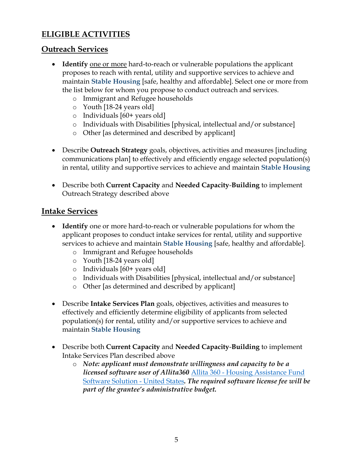# **ELIGIBLE ACTIVITIES**

## **Outreach Services**

- **Identify** one or more hard-to-reach or vulnerable populations the applicant proposes to reach with rental, utility and supportive services to achieve and maintain **Stable Housing** [safe, healthy and affordable]. Select one or more from the list below for whom you propose to conduct outreach and services.
	- o Immigrant and Refugee households
	- o Youth [18-24 years old]
	- o Individuals [60+ years old]
	- o Individuals with Disabilities [physical, intellectual and/or substance]
	- o Other [as determined and described by applicant]
- Describe **Outreach Strategy** goals, objectives, activities and measures [including communications plan] to effectively and efficiently engage selected population(s) in rental, utility and supportive services to achieve and maintain **Stable Housing**
- Describe both **Current Capacity** and **Needed Capacity**-**Building** to implement Outreach Strategy described above

## **Intake Services**

- **Identify** one or more hard-to-reach or vulnerable populations for whom the applicant proposes to conduct intake services for rental, utility and supportive services to achieve and maintain **Stable Housing** [safe, healthy and affordable].
	- o Immigrant and Refugee households
	- o Youth [18-24 years old]
	- o Individuals [60+ years old]
	- o Individuals with Disabilities [physical, intellectual and/or substance]
	- o Other [as determined and described by applicant]
- Describe **Intake Services Plan** goals, objectives, activities and measures to effectively and efficiently determine eligibility of applicants from selected population(s) for rental, utility and/or supportive services to achieve and maintain **Stable Housing**
- Describe both **Current Capacity** and **Needed Capacity**-**Building** to implement Intake Services Plan described above
	- o *Note: applicant must demonstrate willingness and capacity to be a licensed software user of Allita360* Allita 360 - [Housing Assistance Fund](https://www.allita.org/)  [Software Solution -](https://www.allita.org/) United States*. The required software license fee will be part of the grantee's administrative budget.*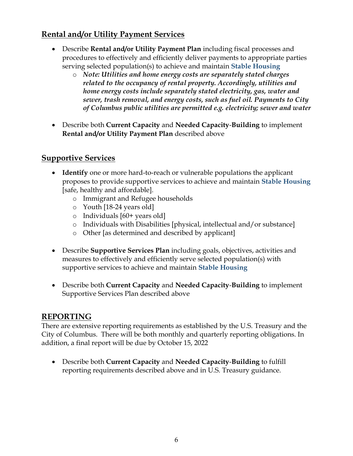# **Rental and/or Utility Payment Services**

- Describe **Rental and/or Utility Payment Plan** including fiscal processes and procedures to effectively and efficiently deliver payments to appropriate parties serving selected population(s) to achieve and maintain **Stable Housing**
	- o *Note: Utilities and home energy costs are separately stated charges related to the occupancy of rental property. Accordingly, utilities and home energy costs include separately stated electricity, gas, water and sewer, trash removal, and energy costs, such as fuel oil. Payments to City of Columbus public utilities are permitted e.g. electricity; sewer and water*
- Describe both **Current Capacity** and **Needed Capacity**-**Building** to implement **Rental and/or Utility Payment Plan** described above

# **Supportive Services**

- **Identify** one or more hard-to-reach or vulnerable populations the applicant proposes to provide supportive services to achieve and maintain **Stable Housing** [safe, healthy and affordable].
	- o Immigrant and Refugee households
	- o Youth [18-24 years old]
	- o Individuals [60+ years old]
	- o Individuals with Disabilities [physical, intellectual and/or substance]
	- o Other [as determined and described by applicant]
- Describe **Supportive Services Plan** including goals, objectives, activities and measures to effectively and efficiently serve selected population(s) with supportive services to achieve and maintain **Stable Housing**
- Describe both **Current Capacity** and **Needed Capacity**-**Building** to implement Supportive Services Plan described above

# **REPORTING**

There are extensive reporting requirements as established by the U.S. Treasury and the City of Columbus. There will be both monthly and quarterly reporting obligations. In addition, a final report will be due by October 15, 2022

 Describe both **Current Capacity** and **Needed Capacity**-**Building** to fulfill reporting requirements described above and in U.S. Treasury guidance.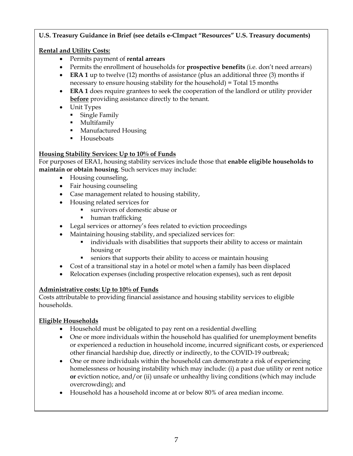#### **U.S. Treasury Guidance in Brief (see details e-CImpact "Resources" U.S. Treasury documents)**

### **Rental and Utility Costs:**

- Permits payment of **rental arrears**
- Permits the enrollment of households for **prospective benefits** (i.e. don't need arrears)
- **ERA 1** up to twelve (12) months of assistance (plus an additional three (3) months if necessary to ensure housing stability for the household) = Total 15 months
- **ERA 1** does require grantees to seek the cooperation of the landlord or utility provider **before** providing assistance directly to the tenant.
- Unit Types
	- **Single Family**
	- **Multifamily**
	- **Manufactured Housing**
	- **Houseboats**

#### **Housing Stability Services: Up to 10% of Funds**

For purposes of ERA1, housing stability services include those that **enable eligible households to maintain or obtain housing**. Such services may include:

- Housing counseling,
- Fair housing counseling
- Case management related to housing stability,
- Housing related services for
	- survivors of domestic abuse or
	- human trafficking
- Legal services or attorney's fees related to eviction proceedings
- Maintaining housing stability, and specialized services for:
	- individuals with disabilities that supports their ability to access or maintain housing or
	- seniors that supports their ability to access or maintain housing
- Cost of a transitional stay in a hotel or motel when a family has been displaced
- Relocation expenses (including prospective relocation expenses), such as rent deposit

## **Administrative costs: Up to 10% of Funds**

Costs attributable to providing financial assistance and housing stability services to eligible households.

## **Eligible Households**

- Household must be obligated to pay rent on a residential dwelling
- One or more individuals within the household has qualified for unemployment benefits or experienced a reduction in household income, incurred significant costs, or experienced other financial hardship due, directly or indirectly, to the COVID-19 outbreak;
- One or more individuals within the household can demonstrate a risk of experiencing homelessness or housing instability which may include: (i) a past due utility or rent notice **or** eviction notice, and/or (ii) unsafe or unhealthy living conditions (which may include overcrowding); and
- Household has a household income at or below 80% of area median income.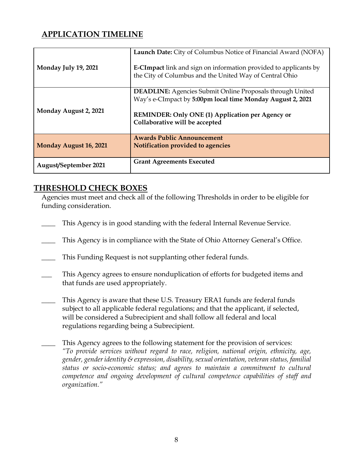# **APPLICATION TIMELINE**

| Monday July 19, 2021         | Launch Date: City of Columbus Notice of Financial Award (NOFA)<br><b>E-CImpact</b> link and sign on information provided to applicants by<br>the City of Columbus and the United Way of Central Ohio                 |
|------------------------------|----------------------------------------------------------------------------------------------------------------------------------------------------------------------------------------------------------------------|
| Monday August 2, 2021        | <b>DEADLINE:</b> Agencies Submit Online Proposals through United<br>Way's e-CImpact by 5:00pm local time Monday August 2, 2021<br>REMINDER: Only ONE (1) Application per Agency or<br>Collaborative will be accepted |
| Monday August 16, 2021       | <b>Awards Public Announcement</b><br>Notification provided to agencies                                                                                                                                               |
| <b>August/September 2021</b> | <b>Grant Agreements Executed</b>                                                                                                                                                                                     |

## **THRESHOLD CHECK BOXES**

Agencies must meet and check all of the following Thresholds in order to be eligible for funding consideration.

- \_\_\_\_ This Agency is in good standing with the federal Internal Revenue Service.
- This Agency is in compliance with the State of Ohio Attorney General's Office.
- **\_\_\_\_** This Funding Request is not supplanting other federal funds.
- This Agency agrees to ensure nonduplication of efforts for budgeted items and that funds are used appropriately.
- This Agency is aware that these U.S. Treasury ERA1 funds are federal funds subject to all applicable federal regulations; and that the applicant, if selected, will be considered a Subrecipient and shall follow all federal and local regulations regarding being a Subrecipient.
- This Agency agrees to the following statement for the provision of services: *"To provide services without regard to race, religion, national origin, ethnicity, age, gender, gender identity & expression, disability, sexual orientation, veteran status, familial status or socio-economic status; and agrees to maintain a commitment to cultural competence and ongoing development of cultural competence capabilities of staff and organization."*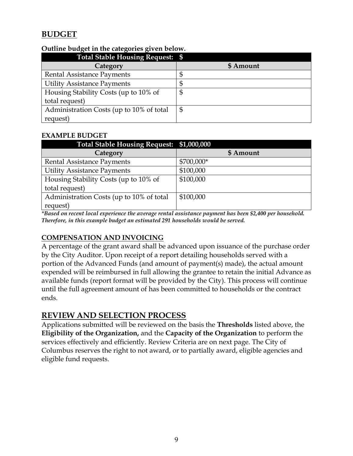# **BUDGET**

| . .<br>. .<br>Total Stable Housing Request: \$ |           |
|------------------------------------------------|-----------|
| Category                                       | \$ Amount |
| Rental Assistance Payments                     |           |
| <b>Utility Assistance Payments</b>             |           |
| Housing Stability Costs (up to 10% of          | \$        |
| total request)                                 |           |
| Administration Costs (up to 10% of total       | \$        |
| request)                                       |           |

### **Outline budget in the categories given below.**

#### **EXAMPLE BUDGET**

| Total Stable Housing Request: \$1,000,000 |            |
|-------------------------------------------|------------|
| Category                                  | \$ Amount  |
| Rental Assistance Payments                | \$700,000* |
| <b>Utility Assistance Payments</b>        | \$100,000  |
| Housing Stability Costs (up to 10% of     | \$100,000  |
| total request)                            |            |
| Administration Costs (up to 10% of total  | \$100,000  |
| request)                                  |            |

*\*Based on recent local experience the average rental assistance payment has been \$2,400 per household. Therefore, in this example budget an estimated 291 households would be served.*

## **COMPENSATION AND INVOICING**

A percentage of the grant award shall be advanced upon issuance of the purchase order by the City Auditor. Upon receipt of a report detailing households served with a portion of the Advanced Funds (and amount of payment(s) made), the actual amount expended will be reimbursed in full allowing the grantee to retain the initial Advance as available funds (report format will be provided by the City). This process will continue until the full agreement amount of has been committed to households or the contract ends.

## **REVIEW AND SELECTION PROCESS**

Applications submitted will be reviewed on the basis the **Thresholds** listed above, the **Eligibility of the Organization,** and the **Capacity of the Organization** to perform the services effectively and efficiently. Review Criteria are on next page. The City of Columbus reserves the right to not award, or to partially award, eligible agencies and eligible fund requests.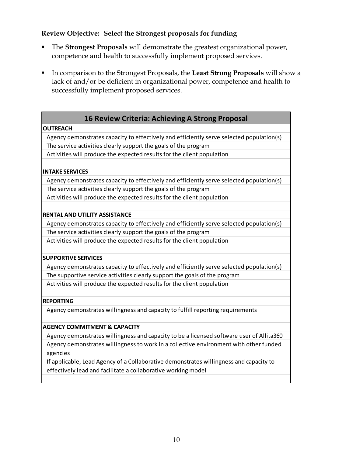## **Review Objective: Select the Strongest proposals for funding**

- The **Strongest Proposals** will demonstrate the greatest organizational power, competence and health to successfully implement proposed services.
- In comparison to the Strongest Proposals, the **Least Strong Proposals** will show a lack of and/or be deficient in organizational power, competence and health to successfully implement proposed services.

## **16 Review Criteria: Achieving A Strong Proposal**

#### **OUTREACH**

Agency demonstrates capacity to effectively and efficiently serve selected population(s) The service activities clearly support the goals of the program

Activities will produce the expected results for the client population

#### **INTAKE SERVICES**

Agency demonstrates capacity to effectively and efficiently serve selected population(s) The service activities clearly support the goals of the program

Activities will produce the expected results for the client population

#### **RENTAL AND UTILITY ASSISTANCE**

Agency demonstrates capacity to effectively and efficiently serve selected population(s) The service activities clearly support the goals of the program

Activities will produce the expected results for the client population

#### **SUPPORTIVE SERVICES**

Agency demonstrates capacity to effectively and efficiently serve selected population(s) The supportive service activities clearly support the goals of the program Activities will produce the expected results for the client population

#### **REPORTING**

Agency demonstrates willingness and capacity to fulfill reporting requirements

#### **AGENCY COMMITMENT & CAPACITY**

Agency demonstrates willingness and capacity to be a licensed software user of Allita360 Agency demonstrates willingness to work in a collective environment with other funded agencies

If applicable, Lead Agency of a Collaborative demonstrates willingness and capacity to effectively lead and facilitate a collaborative working model